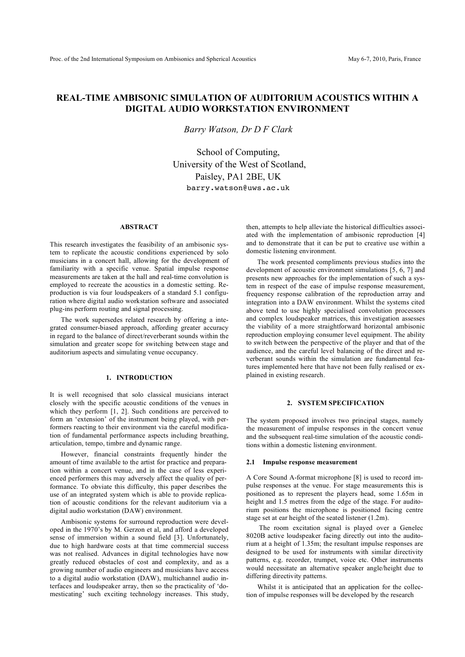# **REAL-TIME AMBISONIC SIMULATION OF AUDITORIUM ACOUSTICS WITHIN A DIGITAL AUDIO WORKSTATION ENVIRONMENT**

*Barry Watson, Dr D F Clark*

School of Computing, University of the West of Scotland, Paisley, PA1 2BE, UK barry.watson@uws.ac.uk

#### **ABSTRACT**

This research investigates the feasibility of an ambisonic system to replicate the acoustic conditions experienced by solo musicians in a concert hall, allowing for the development of familiarity with a specific venue. Spatial impulse response measurements are taken at the hall and real-time convolution is employed to recreate the acoustics in a domestic setting. Reproduction is via four loudspeakers of a standard 5.1 configuration where digital audio workstation software and associated plug-ins perform routing and signal processing.

The work supersedes related research by offering a integrated consumer-biased approach, affording greater accuracy in regard to the balance of direct/reverberant sounds within the simulation and greater scope for switching between stage and auditorium aspects and simulating venue occupancy.

#### **1. INTRODUCTION**

It is well recognised that solo classical musicians interact closely with the specific acoustic conditions of the venues in which they perform [1, 2]. Such conditions are perceived to form an 'extension' of the instrument being played, with performers reacting to their environment via the careful modification of fundamental performance aspects including breathing, articulation, tempo, timbre and dynamic range.

However, financial constraints frequently hinder the amount of time available to the artist for practice and preparation within a concert venue, and in the case of less experienced performers this may adversely affect the quality of performance. To obviate this difficulty, this paper describes the use of an integrated system which is able to provide replication of acoustic conditions for the relevant auditorium via a digital audio workstation (DAW) environment.

Ambisonic systems for surround reproduction were developed in the 1970's by M. Gerzon et al, and afford a developed sense of immersion within a sound field [3]. Unfortunately, due to high hardware costs at that time commercial success was not realised. Advances in digital technologies have now greatly reduced obstacles of cost and complexity, and as a growing number of audio engineers and musicians have access to a digital audio workstation (DAW), multichannel audio interfaces and loudspeaker array, then so the practicality of 'domesticating' such exciting technology increases. This study,

then, attempts to help alleviate the historical difficulties associated with the implementation of ambisonic reproduction [4] and to demonstrate that it can be put to creative use within a domestic listening environment.

The work presented compliments previous studies into the development of acoustic environment simulations [5, 6, 7] and presents new approaches for the implementation of such a system in respect of the ease of impulse response measurement, frequency response calibration of the reproduction array and integration into a DAW environment. Whilst the systems cited above tend to use highly specialised convolution processors and complex loudspeaker matrices, this investigation assesses the viability of a more straightforward horizontal ambisonic reproduction employing consumer level equipment. The ability to switch between the perspective of the player and that of the audience, and the careful level balancing of the direct and reverberant sounds within the simulation are fundamental features implemented here that have not been fully realised or explained in existing research.

#### **2. SYSTEM SPECIFICATION**

The system proposed involves two principal stages, namely the measurement of impulse responses in the concert venue and the subsequent real-time simulation of the acoustic conditions within a domestic listening environment.

#### **2.1 Impulse response measurement**

A Core Sound A-format microphone [8] is used to record impulse responses at the venue. For stage measurements this is positioned as to represent the players head, some 1.65m in height and 1.5 metres from the edge of the stage. For auditorium positions the microphone is positioned facing centre stage set at ear height of the seated listener (1.2m).

 The room excitation signal is played over a Genelec 8020B active loudspeaker facing directly out into the auditorium at a height of 1.35m; the resultant impulse responses are designed to be used for instruments with similar directivity patterns, e.g. recorder, trumpet, voice etc. Other instruments would necessitate an alternative speaker angle/height due to differing directivity patterns.

Whilst it is anticipated that an application for the collection of impulse responses will be developed by the research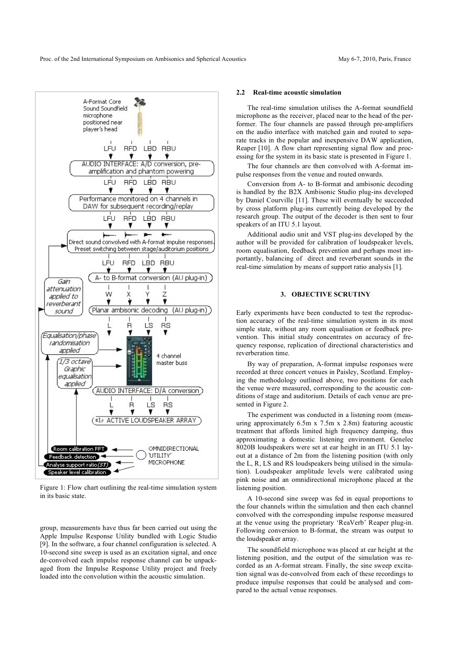

Figure 1: Flow chart outlining the real-time simulation system in its basic state.

group, measurements have thus far been carried out using the Apple Impulse Response Utility bundled with Logic Studio [9]. In the software, a four channel configuration is selected. A 10-second sine sweep is used as an excitation signal, and once de-convolved each impulse response channel can be unpackaged from the Impulse Response Utility project and freely loaded into the convolution within the acoustic simulation.

#### **2.2 Real-time acoustic simulation**

The real-time simulation utilises the A-format soundfield microphone as the receiver, placed near to the head of the performer. The four channels are passed through pre-amplifiers on the audio interface with matched gain and routed to separate tracks in the popular and inexpensive DAW application, Reaper [10]. A flow chart representing signal flow and processing for the system in its basic state is presented in Figure 1.

The four channels are then convolved with A-format impulse responses from the venue and routed onwards.

Conversion from A- to B-format and ambisonic decoding is handled by the B2X Ambisonic Studio plug-ins developed by Daniel Courville [11]. These will eventually be succeeded by cross platform plug-ins currently being developed by the research group. The output of the decoder is then sent to four speakers of an ITU 5.1 layout.

Additional audio unit and VST plug-ins developed by the author will be provided for calibration of loudspeaker levels, room equalisation, feedback prevention and perhaps most importantly, balancing of direct and reverberant sounds in the real-time simulation by means of support ratio analysis [1].

## **3. OBJECTIVE SCRUTINY**

Early experiments have been conducted to test the reproduction accuracy of the real-time simulation system in its most simple state, without any room equalisation or feedback prevention. This initial study concentrates on accuracy of frequency response, replication of directional characteristics and reverberation time.

By way of preparation, A-format impulse responses were recorded at three concert venues in Paisley, Scotland. Employing the methodology outlined above, two positions for each the venue were measured, corresponding to the acoustic conditions of stage and auditorium. Details of each venue are presented in Figure 2.

The experiment was conducted in a listening room (measuring approximately 6.5m x 7.5m x 2.8m) featuring acoustic treatment that affords limited high frequency damping, thus approximating a domestic listening environment. Genelec 8020B loudspeakers were set at ear height in an ITU 5.1 layout at a distance of 2m from the listening position (with only the L, R, LS and RS loudspeakers being utilised in the simulation). Loudspeaker amplitude levels were calibrated using pink noise and an omnidirectional microphone placed at the listening position.

A 10-second sine sweep was fed in equal proportions to the four channels within the simulation and then each channel convolved with the corresponding impulse response measured at the venue using the proprietary 'ReaVerb' Reaper plug-in. Following conversion to B-format, the stream was output to the loudspeaker array.

The soundfield microphone was placed at ear height at the listening position, and the output of the simulation was recorded as an A-format stream. Finally, the sine sweep excitation signal was de-convolved from each of these recordings to produce impulse responses that could be analysed and compared to the actual venue responses.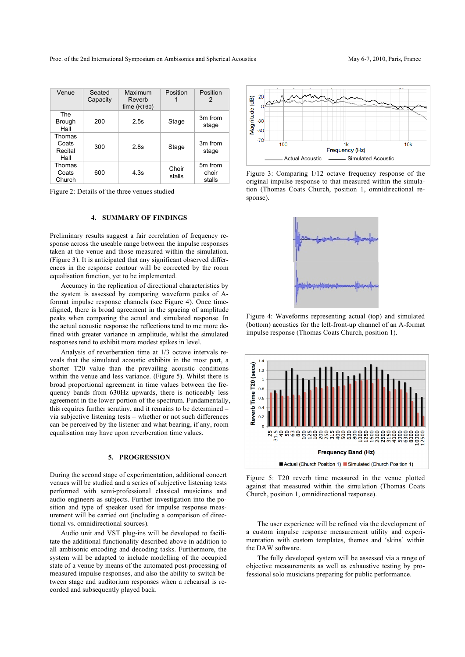Proc. of the 2nd International Symposium on Ambisonics and Spherical Acoustics May 6-7, 2010, Paris, France

| Venue                              | Seated<br>Capacity | Maximum<br>Reverb<br>time (RT60) | Position        | Position<br>2              |
|------------------------------------|--------------------|----------------------------------|-----------------|----------------------------|
| The<br><b>Brough</b><br>Hall       | 200                | 2.5s                             | Stage           | 3m from<br>stage           |
| Thomas<br>Coats<br>Recital<br>Hall | 300                | 2.8s                             | Stage           | 3m from<br>stage           |
| Thomas<br>Coats<br>Church          | 600                | 4.3s                             | Choir<br>stalls | 5m from<br>choir<br>stalls |

Figure 2: Details of the three venues studied

### **4. SUMMARY OF FINDINGS**

Preliminary results suggest a fair correlation of frequency response across the useable range between the impulse responses taken at the venue and those measured within the simulation. (Figure 3). It is anticipated that any significant observed differences in the response contour will be corrected by the room equalisation function, yet to be implemented.

Accuracy in the replication of directional characteristics by the system is assessed by comparing waveform peaks of Aformat impulse response channels (see Figure 4). Once timealigned, there is broad agreement in the spacing of amplitude peaks when comparing the actual and simulated response. In the actual acoustic response the reflections tend to me more defined with greater variance in amplitude, whilst the simulated responses tend to exhibit more modest spikes in level.

Analysis of reverberation time at 1/3 octave intervals reveals that the simulated acoustic exhibits in the most part, a shorter T20 value than the prevailing acoustic conditions within the venue and less variance. (Figure 5). Whilst there is broad proportional agreement in time values between the frequency bands from 630Hz upwards, there is noticeably less agreement in the lower portion of the spectrum. Fundamentally, this requires further scrutiny, and it remains to be determined – via subjective listening tests – whether or not such differences can be perceived by the listener and what bearing, if any, room equalisation may have upon reverberation time values.

#### **5. PROGRESSION**

During the second stage of experimentation, additional concert venues will be studied and a series of subjective listening tests performed with semi-professional classical musicians and audio engineers as subjects. Further investigation into the position and type of speaker used for impulse response measurement will be carried out (including a comparison of directional vs. omnidirectional sources).

Audio unit and VST plug-ins will be developed to facilitate the additional functionality described above in addition to all ambisonic encoding and decoding tasks. Furthermore, the system will be adapted to include modelling of the occupied state of a venue by means of the automated post-processing of measured impulse responses, and also the ability to switch between stage and auditorium responses when a rehearsal is recorded and subsequently played back.



Figure 3: Comparing 1/12 octave frequency response of the original impulse response to that measured within the simulation (Thomas Coats Church, position 1, omnidirectional response).



Figure 4: Waveforms representing actual (top) and simulated (bottom) acoustics for the left-front-up channel of an A-format impulse response (Thomas Coats Church, position 1).



Figure 5: T20 reverb time measured in the venue plotted against that measured within the simulation (Thomas Coats Church, position 1, omnidirectional response).

The user experience will be refined via the development of a custom impulse response measurement utility and experimentation with custom templates, themes and 'skins' within the DAW software.

The fully developed system will be assessed via a range of objective measurements as well as exhaustive testing by professional solo musicians preparing for public performance.